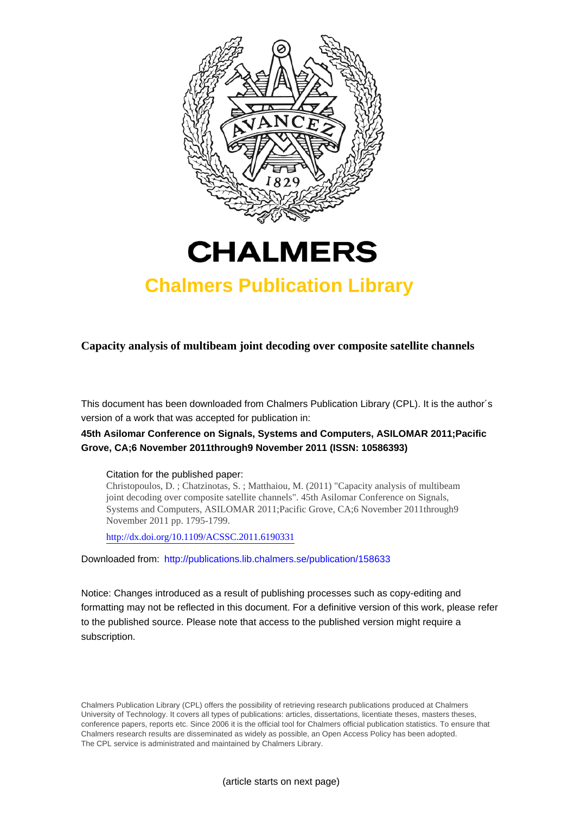



# **Chalmers Publication Library**

**Capacity analysis of multibeam joint decoding over composite satellite channels**

This document has been downloaded from Chalmers Publication Library (CPL). It is the author´s version of a work that was accepted for publication in:

**45th Asilomar Conference on Signals, Systems and Computers, ASILOMAR 2011;Pacific Grove, CA;6 November 2011through9 November 2011 (ISSN: 10586393)**

# Citation for the published paper:

Christopoulos, D. ; Chatzinotas, S. ; Matthaiou, M. (2011) "Capacity analysis of multibeam joint decoding over composite satellite channels". 45th Asilomar Conference on Signals, Systems and Computers, ASILOMAR 2011;Pacific Grove, CA;6 November 2011through9 November 2011 pp. 1795-1799.

<http://dx.doi.org/10.1109/ACSSC.2011.6190331>

Downloaded from: <http://publications.lib.chalmers.se/publication/158633>

Notice: Changes introduced as a result of publishing processes such as copy-editing and formatting may not be reflected in this document. For a definitive version of this work, please refer to the published source. Please note that access to the published version might require a subscription.

Chalmers Publication Library (CPL) offers the possibility of retrieving research publications produced at Chalmers University of Technology. It covers all types of publications: articles, dissertations, licentiate theses, masters theses, conference papers, reports etc. Since 2006 it is the official tool for Chalmers official publication statistics. To ensure that Chalmers research results are disseminated as widely as possible, an Open Access Policy has been adopted. The CPL service is administrated and maintained by Chalmers Library.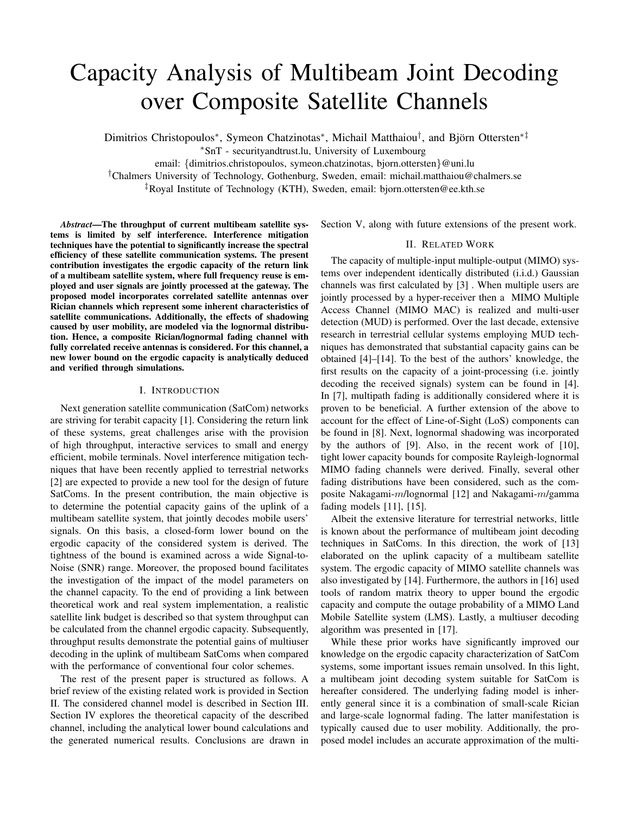# Capacity Analysis of Multibeam Joint Decoding over Composite Satellite Channels

Dimitrios Christopoulos*∗* , Symeon Chatzinotas*∗* , Michail Matthaiou*†* , and Bjorn Ottersten ¨ *∗‡*

*∗*SnT - securityandtrust.lu, University of Luxembourg

email: *{*dimitrios.christopoulos, symeon.chatzinotas, bjorn.ottersten*}*@uni.lu

*†*Chalmers University of Technology, Gothenburg, Sweden, email: michail.matthaiou@chalmers.se

*‡*Royal Institute of Technology (KTH), Sweden, email: bjorn.ottersten@ee.kth.se

*Abstract*—The throughput of current multibeam satellite systems is limited by self interference. Interference mitigation techniques have the potential to significantly increase the spectral efficiency of these satellite communication systems. The present contribution investigates the ergodic capacity of the return link of a multibeam satellite system, where full frequency reuse is employed and user signals are jointly processed at the gateway. The proposed model incorporates correlated satellite antennas over Rician channels which represent some inherent characteristics of satellite communications. Additionally, the effects of shadowing caused by user mobility, are modeled via the lognormal distribution. Hence, a composite Rician/lognormal fading channel with fully correlated receive antennas is considered. For this channel, a new lower bound on the ergodic capacity is analytically deduced and verified through simulations.

#### I. INTRODUCTION

Next generation satellite communication (SatCom) networks are striving for terabit capacity [1]. Considering the return link of these systems, great challenges arise with the provision of high throughput, interactive services to small and energy efficient, mobile terminals. Novel interference mitigation techniques that have been recently applied to terrestrial networks [2] are expected to provide a new tool for the design of future SatComs. In the present contribution, the main objective is to determine the potential capacity gains of the uplink of a multibeam satellite system, that jointly decodes mobile users' signals. On this basis, a closed-form lower bound on the ergodic capacity of the considered system is derived. The tightness of the bound is examined across a wide Signal-to-Noise (SNR) range. Moreover, the proposed bound facilitates the investigation of the impact of the model parameters on the channel capacity. To the end of providing a link between theoretical work and real system implementation, a realistic satellite link budget is described so that system throughput can be calculated from the channel ergodic capacity. Subsequently, throughput results demonstrate the potential gains of multiuser decoding in the uplink of multibeam SatComs when compared with the performance of conventional four color schemes.

The rest of the present paper is structured as follows. A brief review of the existing related work is provided in Section II. The considered channel model is described in Section III. Section IV explores the theoretical capacity of the described channel, including the analytical lower bound calculations and the generated numerical results. Conclusions are drawn in Section V, along with future extensions of the present work.

## II. RELATED WORK

The capacity of multiple-input multiple-output (MIMO) systems over independent identically distributed (i.i.d.) Gaussian channels was first calculated by [3] . When multiple users are jointly processed by a hyper-receiver then a MIMO Multiple Access Channel (MIMO MAC) is realized and multi-user detection (MUD) is performed. Over the last decade, extensive research in terrestrial cellular systems employing MUD techniques has demonstrated that substantial capacity gains can be obtained [4]–[14]. To the best of the authors' knowledge, the first results on the capacity of a joint-processing (i.e. jointly decoding the received signals) system can be found in [4]. In [7], multipath fading is additionally considered where it is proven to be beneficial. A further extension of the above to account for the effect of Line-of-Sight (LoS) components can be found in [8]. Next, lognormal shadowing was incorporated by the authors of [9]. Also, in the recent work of [10], tight lower capacity bounds for composite Rayleigh-lognormal MIMO fading channels were derived. Finally, several other fading distributions have been considered, such as the composite Nakagami-*m*/lognormal [12] and Nakagami-*m*/gamma fading models [11], [15].

Albeit the extensive literature for terrestrial networks, little is known about the performance of multibeam joint decoding techniques in SatComs. In this direction, the work of [13] elaborated on the uplink capacity of a multibeam satellite system. The ergodic capacity of MIMO satellite channels was also investigated by [14]. Furthermore, the authors in [16] used tools of random matrix theory to upper bound the ergodic capacity and compute the outage probability of a MIMO Land Mobile Satellite system (LMS). Lastly, a multiuser decoding algorithm was presented in [17].

While these prior works have significantly improved our knowledge on the ergodic capacity characterization of SatCom systems, some important issues remain unsolved. In this light, a multibeam joint decoding system suitable for SatCom is hereafter considered. The underlying fading model is inherently general since it is a combination of small-scale Rician and large-scale lognormal fading. The latter manifestation is typically caused due to user mobility. Additionally, the proposed model includes an accurate approximation of the multi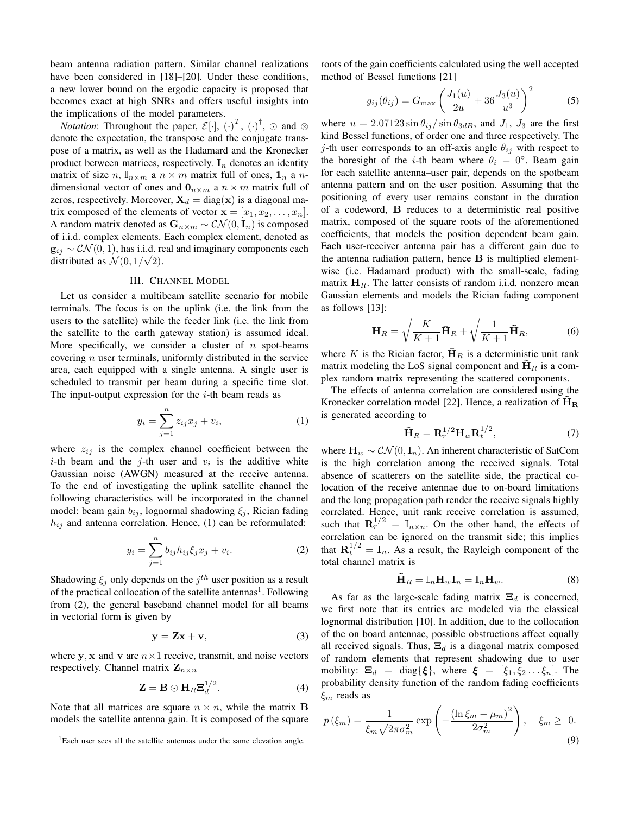beam antenna radiation pattern. Similar channel realizations have been considered in [18]–[20]. Under these conditions, a new lower bound on the ergodic capacity is proposed that becomes exact at high SNRs and offers useful insights into the implications of the model parameters.

*Notation*: Throughout the paper,  $\mathcal{E}[\cdot]$ ,  $(\cdot)^T$ ,  $(\cdot)^{\dagger}$ ,  $\odot$  and  $\otimes$ denote the expectation, the transpose and the conjugate transpose of a matrix, as well as the Hadamard and the Kronecker product between matrices, respectively.  $I_n$  denotes an identity matrix of size *n*,  $\mathbb{I}_{n \times m}$  a  $n \times m$  matrix full of ones,  $\mathbf{1}_n$  a *n*dimensional vector of ones and  $\mathbf{0}_{n \times m}$  a  $n \times m$  matrix full of zeros, respectively. Moreover,  $X_d = \text{diag}(\mathbf{x})$  is a diagonal matrix composed of the elements of vector  $\mathbf{x} = [x_1, x_2, \dots, x_n]$ . A random matrix denoted as  $\mathbf{G}_{n \times m} \sim \mathcal{CN}(0, \mathbf{I}_n)$  is composed of i.i.d. complex elements. Each complex element, denoted as  $g_{ij} \sim \mathcal{CN}(0,1)$ , has i.i.d. real and imaginary components each distributed as  $\mathcal{N}(0, 1/\sqrt{2})$ .

### III. CHANNEL MODEL

Let us consider a multibeam satellite scenario for mobile terminals. The focus is on the uplink (i.e. the link from the users to the satellite) while the feeder link (i.e. the link from the satellite to the earth gateway station) is assumed ideal. More specifically, we consider a cluster of *n* spot-beams covering *n* user terminals, uniformly distributed in the service area, each equipped with a single antenna. A single user is scheduled to transmit per beam during a specific time slot. The input-output expression for the *i*-th beam reads as

$$
y_i = \sum_{j=1}^n z_{ij} x_j + v_i,
$$
 (1)

where  $z_{ij}$  is the complex channel coefficient between the *i*-th beam and the *j*-th user and  $v_i$  is the additive white Gaussian noise (AWGN) measured at the receive antenna. To the end of investigating the uplink satellite channel the following characteristics will be incorporated in the channel model: beam gain  $b_{ij}$ , lognormal shadowing  $\xi_j$ , Rician fading  $h_{ij}$  and antenna correlation. Hence, (1) can be reformulated:

$$
y_i = \sum_{j=1}^n b_{ij} h_{ij} \xi_j x_j + v_i.
$$
 (2)

Shadowing *ξ<sup>j</sup>* only depends on the *j th* user position as a result of the practical collocation of the satellite antennas<sup>1</sup>. Following from (2), the general baseband channel model for all beams in vectorial form is given by

$$
y = Zx + v,\t\t(3)
$$

where **y**, **x** and **v** are  $n \times 1$  receive, transmit, and noise vectors respectively. Channel matrix  $\mathbf{Z}_{n \times n}$ 

$$
\mathbf{Z} = \mathbf{B} \odot \mathbf{H}_R \mathbf{\Xi}_d^{1/2}.
$$
 (4)

Note that all matrices are square  $n \times n$ , while the matrix **B** models the satellite antenna gain. It is composed of the square roots of the gain coefficients calculated using the well accepted method of Bessel functions [21]

$$
g_{ij}(\theta_{ij}) = G_{\text{max}} \left( \frac{J_1(u)}{2u} + 36 \frac{J_3(u)}{u^3} \right)^2 \tag{5}
$$

where  $u = 2.07123 \sin \theta_{ij}/\sin \theta_{3dB}$ , and  $J_1$ ,  $J_3$  are the first kind Bessel functions, of order one and three respectively. The *j*-th user corresponds to an off-axis angle  $\theta_{ij}$  with respect to the boresight of the *i*-th beam where  $\theta_i = 0^\circ$ . Beam gain for each satellite antenna–user pair, depends on the spotbeam antenna pattern and on the user position. Assuming that the positioning of every user remains constant in the duration of a codeword, **B** reduces to a deterministic real positive matrix, composed of the square roots of the aforementioned coefficients, that models the position dependent beam gain. Each user-receiver antenna pair has a different gain due to the antenna radiation pattern, hence **B** is multiplied elementwise (i.e. Hadamard product) with the small-scale, fading matrix  $\mathbf{H}_R$ . The latter consists of random i.i.d. nonzero mean Gaussian elements and models the Rician fading component as follows [13]:

$$
\mathbf{H}_R = \sqrt{\frac{K}{K+1}} \mathbf{\bar{H}}_R + \sqrt{\frac{1}{K+1}} \mathbf{\tilde{H}}_R, \tag{6}
$$

where *K* is the Rician factor,  $\bar{H}_R$  is a deterministic unit rank matrix modeling the LoS signal component and  $\mathbf{H}_R$  is a complex random matrix representing the scattered components.

The effects of antenna correlation are considered using the Kronecker correlation model [22]. Hence, a realization of  $\mathbf{H}_{\mathbf{R}}$ is generated according to

$$
\tilde{\mathbf{H}}_R = \mathbf{R}_r^{1/2} \mathbf{H}_w \mathbf{R}_t^{1/2},\tag{7}
$$

where  $\mathbf{H}_w \sim \mathcal{CN}(0, \mathbf{I}_n)$ . An inherent characteristic of SatCom is the high correlation among the received signals. Total absence of scatterers on the satellite side, the practical colocation of the receive antennae due to on-board limitations and the long propagation path render the receive signals highly correlated. Hence, unit rank receive correlation is assumed, such that  $\mathbf{R}_r^{1/2} = \mathbb{I}_{n \times n}$ . On the other hand, the effects of correlation can be ignored on the transmit side; this implies that  $\mathbf{R}_t^{1/2} = \mathbf{I}_n$ . As a result, the Rayleigh component of the total channel matrix is

$$
\tilde{\mathbf{H}}_R = \mathbb{I}_n \mathbf{H}_w \mathbf{I}_n = \mathbb{I}_n \mathbf{H}_w. \tag{8}
$$

As far as the large-scale fading matrix  $\Xi_d$  is concerned, we first note that its entries are modeled via the classical lognormal distribution [10]. In addition, due to the collocation of the on board antennae, possible obstructions affect equally all received signals. Thus,  $\Xi_d$  is a diagonal matrix composed of random elements that represent shadowing due to user mobility:  $\Xi_d$  = diag{ $\xi$ }, where  $\xi$  = [ $\xi_1, \xi_2 ... \xi_n$ ]. The probability density function of the random fading coefficients *ξ<sup>m</sup>* reads as

$$
p(\xi_m) = \frac{1}{\xi_m \sqrt{2\pi \sigma_m^2}} \exp\left(-\frac{\left(\ln \xi_m - \mu_m\right)^2}{2\sigma_m^2}\right), \quad \xi_m \geq 0. \tag{9}
$$

<sup>&</sup>lt;sup>1</sup>Each user sees all the satellite antennas under the same elevation angle.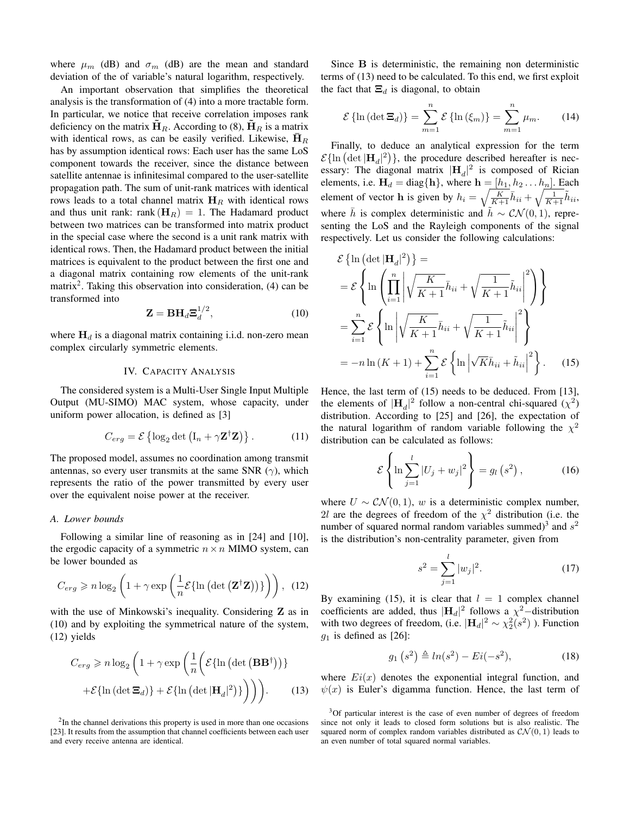where  $\mu_m$  (dB) and  $\sigma_m$  (dB) are the mean and standard deviation of the of variable's natural logarithm, respectively.

An important observation that simplifies the theoretical analysis is the transformation of (4) into a more tractable form. In particular, we notice that receive correlation imposes rank deficiency on the matrix  $\mathbf{H}_R$ . According to (8),  $\mathbf{H}_R$  is a matrix with identical rows, as can be easily verified. Likewise,  $\mathbf{H}_R$ has by assumption identical rows: Each user has the same LoS component towards the receiver, since the distance between satellite antennae is infinitesimal compared to the user-satellite propagation path. The sum of unit-rank matrices with identical rows leads to a total channel matrix **H***<sup>R</sup>* with identical rows and thus unit rank: rank  $(\mathbf{H}_R) = 1$ . The Hadamard product between two matrices can be transformed into matrix product in the special case where the second is a unit rank matrix with identical rows. Then, the Hadamard product between the initial matrices is equivalent to the product between the first one and a diagonal matrix containing row elements of the unit-rank matrix<sup>2</sup>. Taking this observation into consideration, (4) can be transformed into

$$
\mathbf{Z} = \mathbf{B} \mathbf{H}_d \mathbf{\Xi}_d^{1/2},\tag{10}
$$

where  $H_d$  is a diagonal matrix containing i.i.d. non-zero mean complex circularly symmetric elements.

### IV. CAPACITY ANALYSIS

The considered system is a Multi-User Single Input Multiple Output (MU-SIMO) MAC system, whose capacity, under uniform power allocation, is defined as [3]

$$
C_{erg} = \mathcal{E} \left\{ \log_2 \det \left( \mathbf{I}_n + \gamma \mathbf{Z}^\dagger \mathbf{Z} \right) \right\}.
$$
 (11)

The proposed model, assumes no coordination among transmit antennas, so every user transmits at the same SNR  $(\gamma)$ , which represents the ratio of the power transmitted by every user over the equivalent noise power at the receiver.

#### *A. Lower bounds*

Following a similar line of reasoning as in [24] and [10], the ergodic capacity of a symmetric  $n \times n$  MIMO system, can be lower bounded as

$$
C_{erg} \geqslant n \log_2 \left( 1 + \gamma \exp \left( \frac{1}{n} \mathcal{E} \{ \ln \left( \det \left( \mathbf{Z}^\dagger \mathbf{Z} \right) \right) \} \right) \right), \tag{12}
$$

with the use of Minkowski's inequality. Considering **Z** as in (10) and by exploiting the symmetrical nature of the system, (12) yields

$$
C_{erg} \geqslant n \log_2 \left( 1 + \gamma \exp \left( \frac{1}{n} \left( \mathcal{E} \{ \ln \left( \det \left( \mathbf{B} \mathbf{B}^\dagger \right) \right) \} + \mathcal{E} \{ \ln \left( \det \mathbf{\Xi}_d \right) \} + \mathcal{E} \{ \ln \left( \det \left| \mathbf{H}_d \right|^2 \right) \} \right) \right) \right).
$$
 (13)

<sup>2</sup>In the channel derivations this property is used in more than one occasions [23]. It results from the assumption that channel coefficients between each user and every receive antenna are identical.

Since **B** is deterministic, the remaining non deterministic terms of (13) need to be calculated. To this end, we first exploit the fact that  $\Xi_d$  is diagonal, to obtain

$$
\mathcal{E}\left\{\ln\left(\det\mathbf{\Xi}_d\right)\right\} = \sum_{m=1}^n \mathcal{E}\left\{\ln\left(\xi_m\right)\right\} = \sum_{m=1}^n \mu_m. \tag{14}
$$

Finally, to deduce an analytical expression for the term  $\mathcal{E}$ {ln (det | $\mathbf{H}_d$ |<sup>2</sup>)}, the procedure described hereafter is necessary: The diagonal matrix  $|\mathbf{H}_d|^2$  is composed of Rician elements, i.e.  $\mathbf{H}_d = \text{diag}\{\mathbf{h}\}$ , where  $\mathbf{h} = [h_1, h_2 \dots h_n]$ . Each element of vector **h** is given by  $h_i = \sqrt{\frac{K}{K+1}}\bar{h}_{ii} + \sqrt{\frac{1}{K+1}}\tilde{h}_{ii}$ , where  $\bar{h}$  is complex deterministic and  $\tilde{h} \sim \mathcal{CN}(0, 1)$ , representing the LoS and the Rayleigh components of the signal respectively. Let us consider the following calculations:

$$
\mathcal{E}\left\{\ln\left(\det|\mathbf{H}_{d}|^{2}\right)\right\} =
$$
\n
$$
= \mathcal{E}\left\{\ln\left(\prod_{i=1}^{n}\left|\sqrt{\frac{K}{K+1}}\bar{h}_{ii} + \sqrt{\frac{1}{K+1}}\tilde{h}_{ii}\right|^{2}\right)\right\}
$$
\n
$$
= \sum_{i=1}^{n}\mathcal{E}\left\{\ln\left|\sqrt{\frac{K}{K+1}}\bar{h}_{ii} + \sqrt{\frac{1}{K+1}}\tilde{h}_{ii}\right|^{2}\right\}
$$
\n
$$
= -n\ln\left(K+1\right) + \sum_{i=1}^{n}\mathcal{E}\left\{\ln\left|\sqrt{K}\bar{h}_{ii} + \tilde{h}_{ii}\right|^{2}\right\}.\tag{15}
$$

Hence, the last term of (15) needs to be deduced. From [13], the elements of  $|\mathbf{H}_d|^2$  follow a non-central chi-squared  $(\chi^2)$ distribution. According to [25] and [26], the expectation of the natural logarithm of random variable following the  $\chi^2$ distribution can be calculated as follows:

$$
\mathcal{E}\left\{\ln\sum_{j=1}^{l}|U_j+w_j|^2\right\}=g_l\left(s^2\right),\qquad(16)
$$

where  $U \sim \mathcal{CN}(0, 1)$ , *w* is a deterministic complex number, 2*l* are the degrees of freedom of the  $\chi^2$  distribution (i.e. the number of squared normal random variables summed)<sup>3</sup> and  $s^2$ is the distribution's non-centrality parameter, given from

$$
s^2 = \sum_{j=1}^{l} |w_j|^2.
$$
 (17)

By examining (15), it is clear that  $l = 1$  complex channel coefficients are added, thus  $|H_d|^2$  follows a  $\chi^2$ −distribution with two degrees of freedom, (i.e.  $|\mathbf{H}_d|^2 \sim \chi_2^2(s^2)$ ). Function  $g_1$  is defined as [26]:

$$
g_1(s^2) \triangleq ln(s^2) - Ei(-s^2), \tag{18}
$$

where  $Ei(x)$  denotes the exponential integral function, and  $\psi(x)$  is Euler's digamma function. Hence, the last term of

<sup>&</sup>lt;sup>3</sup>Of particular interest is the case of even number of degrees of freedom since not only it leads to closed form solutions but is also realistic. The squared norm of complex random variables distributed as  $CN(0, 1)$  leads to an even number of total squared normal variables.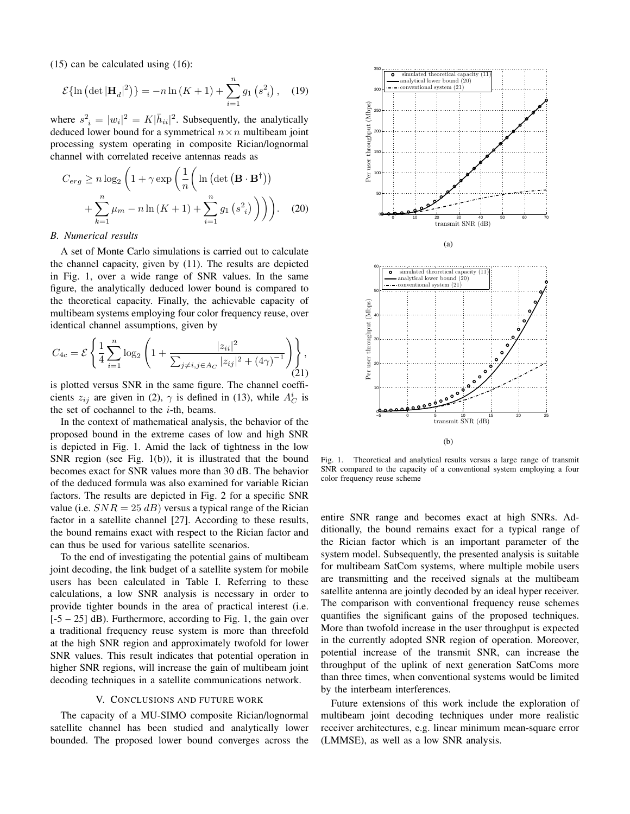(15) can be calculated using (16):

$$
\mathcal{E}\{\ln\left(\det|\mathbf{H}_d|^2\right)\} = -n\ln\left(K+1\right) + \sum_{i=1}^n g_1\left(s^2_i\right),\quad(19)
$$

where  $s^2_i = |w_i|^2 = K |\bar{h}_{ii}|^2$ . Subsequently, the analytically deduced lower bound for a symmetrical  $n \times n$  multibeam joint processing system operating in composite Rician/lognormal channel with correlated receive antennas reads as

$$
C_{erg} \ge n \log_2 \left( 1 + \gamma \exp \left( \frac{1}{n} \left( \ln \left( \det \left( \mathbf{B} \cdot \mathbf{B}^\dagger \right) \right) \right) + \sum_{k=1}^n \mu_m - n \ln \left( K + 1 \right) + \sum_{i=1}^n g_1 \left( s^2_i \right) \right) \right) \right).
$$
 (20)

#### *B. Numerical results*

A set of Monte Carlo simulations is carried out to calculate the channel capacity, given by (11). The results are depicted in Fig. 1, over a wide range of SNR values. In the same figure, the analytically deduced lower bound is compared to the theoretical capacity. Finally, the achievable capacity of multibeam systems employing four color frequency reuse, over identical channel assumptions, given by

$$
C_{4c} = \mathcal{E}\left\{\frac{1}{4}\sum_{i=1}^{n}\log_2\left(1+\frac{|z_{ii}|^2}{\sum_{j\neq i,j\in A_C} |z_{ij}|^2 + (4\gamma)^{-1}}\right)\right\},\tag{21}
$$

is plotted versus SNR in the same figure. The channel coefficients  $z_{ij}$  are given in (2),  $\gamma$  is defined in (13), while  $A_C^i$  is the set of cochannel to the *i*-th, beams.

In the context of mathematical analysis, the behavior of the proposed bound in the extreme cases of low and high SNR is depicted in Fig. 1. Amid the lack of tightness in the low SNR region (see Fig. 1(b)), it is illustrated that the bound becomes exact for SNR values more than 30 dB. The behavior of the deduced formula was also examined for variable Rician factors. The results are depicted in Fig. 2 for a specific SNR value (i.e.  $SNR = 25$  dB) versus a typical range of the Rician factor in a satellite channel [27]. According to these results, the bound remains exact with respect to the Rician factor and can thus be used for various satellite scenarios.

To the end of investigating the potential gains of multibeam joint decoding, the link budget of a satellite system for mobile users has been calculated in Table I. Referring to these calculations, a low SNR analysis is necessary in order to provide tighter bounds in the area of practical interest (i.e.  $[-5 - 25]$  dB). Furthermore, according to Fig. 1, the gain over a traditional frequency reuse system is more than threefold at the high SNR region and approximately twofold for lower SNR values. This result indicates that potential operation in higher SNR regions, will increase the gain of multibeam joint decoding techniques in a satellite communications network.

#### V. CONCLUSIONS AND FUTURE WORK

The capacity of a MU-SIMO composite Rician/lognormal satellite channel has been studied and analytically lower bounded. The proposed lower bound converges across the



Fig. 1. Theoretical and analytical results versus a large range of transmit SNR compared to the capacity of a conventional system employing a four color frequency reuse scheme

entire SNR range and becomes exact at high SNRs. Additionally, the bound remains exact for a typical range of the Rician factor which is an important parameter of the system model. Subsequently, the presented analysis is suitable for multibeam SatCom systems, where multiple mobile users are transmitting and the received signals at the multibeam satellite antenna are jointly decoded by an ideal hyper receiver. The comparison with conventional frequency reuse schemes quantifies the significant gains of the proposed techniques. More than twofold increase in the user throughput is expected in the currently adopted SNR region of operation. Moreover, potential increase of the transmit SNR, can increase the throughput of the uplink of next generation SatComs more than three times, when conventional systems would be limited by the interbeam interferences.

Future extensions of this work include the exploration of multibeam joint decoding techniques under more realistic receiver architectures, e.g. linear minimum mean-square error (LMMSE), as well as a low SNR analysis.